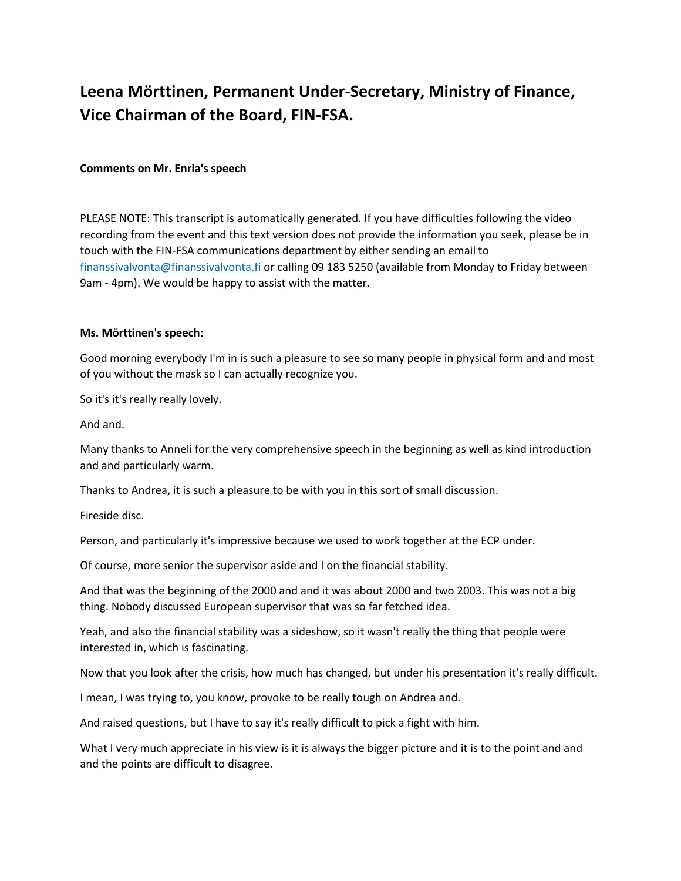## **Leena Mörttinen, Permanent Under-Secretary, Ministry of Finance, Vice Chairman of the Board, FIN-FSA.**

## **Comments on Mr. Enria's speech**

PLEASE NOTE: This transcript is automatically generated. If you have difficulties following the video recording from the event and this text version does not provide the information you seek, please be in touch with the FIN-FSA communications department by either sending an email to [finanssivalvonta@finanssivalvonta.fi](mailto:finanssivalvonta@finanssivalvonta.fi) or calling 09 183 5250 (available from Monday to Friday between 9am - 4pm). We would be happy to assist with the matter.

## **Ms. Mörttinen's speech:**

Good morning everybody I'm in is such a pleasure to see so many people in physical form and and most of you without the mask so I can actually recognize you.

So it's it's really really lovely.

And and.

Many thanks to Anneli for the very comprehensive speech in the beginning as well as kind introduction and and particularly warm.

Thanks to Andrea, it is such a pleasure to be with you in this sort of small discussion.

Fireside disc.

Person, and particularly it's impressive because we used to work together at the ECP under.

Of course, more senior the supervisor aside and I on the financial stability.

And that was the beginning of the 2000 and and it was about 2000 and two 2003. This was not a big thing. Nobody discussed European supervisor that was so far fetched idea.

Yeah, and also the financial stability was a sideshow, so it wasn't really the thing that people were interested in, which is fascinating.

Now that you look after the crisis, how much has changed, but under his presentation it's really difficult.

I mean, I was trying to, you know, provoke to be really tough on Andrea and.

And raised questions, but I have to say it's really difficult to pick a fight with him.

What I very much appreciate in his view is it is always the bigger picture and it is to the point and and and the points are difficult to disagree.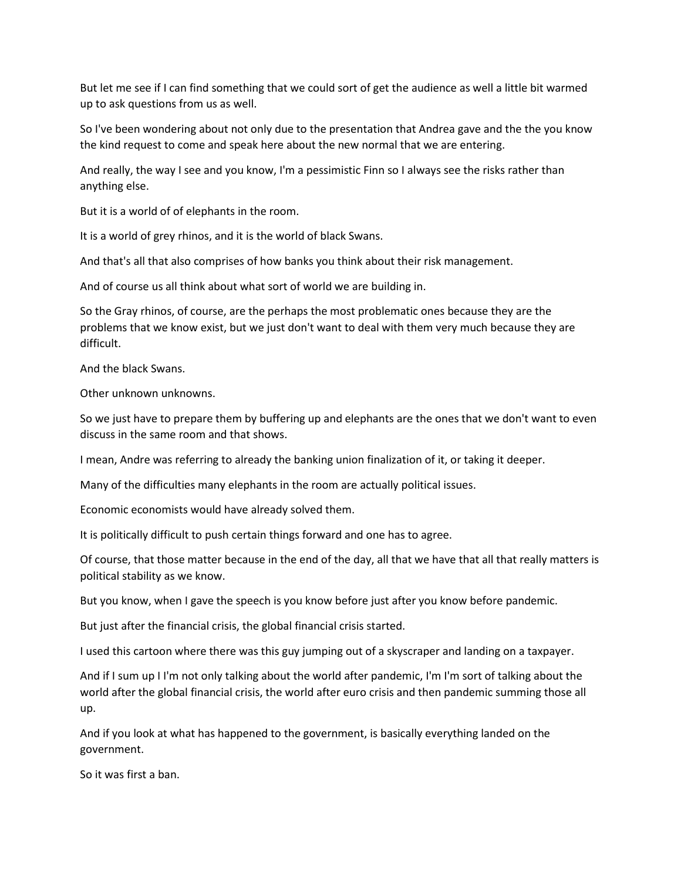But let me see if I can find something that we could sort of get the audience as well a little bit warmed up to ask questions from us as well.

So I've been wondering about not only due to the presentation that Andrea gave and the the you know the kind request to come and speak here about the new normal that we are entering.

And really, the way I see and you know, I'm a pessimistic Finn so I always see the risks rather than anything else.

But it is a world of of elephants in the room.

It is a world of grey rhinos, and it is the world of black Swans.

And that's all that also comprises of how banks you think about their risk management.

And of course us all think about what sort of world we are building in.

So the Gray rhinos, of course, are the perhaps the most problematic ones because they are the problems that we know exist, but we just don't want to deal with them very much because they are difficult.

And the black Swans.

Other unknown unknowns.

So we just have to prepare them by buffering up and elephants are the ones that we don't want to even discuss in the same room and that shows.

I mean, Andre was referring to already the banking union finalization of it, or taking it deeper.

Many of the difficulties many elephants in the room are actually political issues.

Economic economists would have already solved them.

It is politically difficult to push certain things forward and one has to agree.

Of course, that those matter because in the end of the day, all that we have that all that really matters is political stability as we know.

But you know, when I gave the speech is you know before just after you know before pandemic.

But just after the financial crisis, the global financial crisis started.

I used this cartoon where there was this guy jumping out of a skyscraper and landing on a taxpayer.

And if I sum up I I'm not only talking about the world after pandemic, I'm I'm sort of talking about the world after the global financial crisis, the world after euro crisis and then pandemic summing those all up.

And if you look at what has happened to the government, is basically everything landed on the government.

So it was first a ban.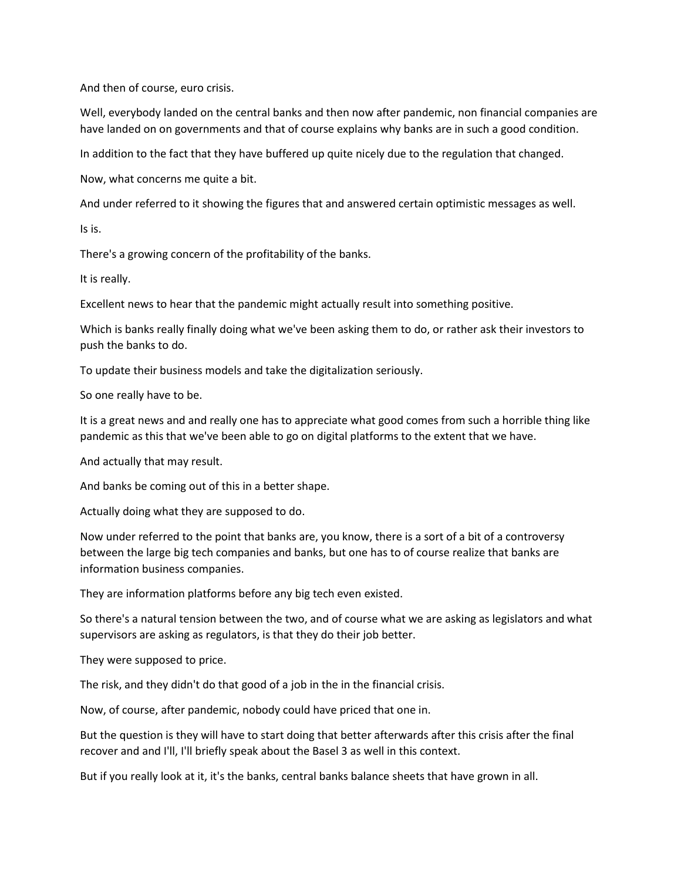And then of course, euro crisis.

Well, everybody landed on the central banks and then now after pandemic, non financial companies are have landed on on governments and that of course explains why banks are in such a good condition.

In addition to the fact that they have buffered up quite nicely due to the regulation that changed.

Now, what concerns me quite a bit.

And under referred to it showing the figures that and answered certain optimistic messages as well.

Is is.

There's a growing concern of the profitability of the banks.

It is really.

Excellent news to hear that the pandemic might actually result into something positive.

Which is banks really finally doing what we've been asking them to do, or rather ask their investors to push the banks to do.

To update their business models and take the digitalization seriously.

So one really have to be.

It is a great news and and really one has to appreciate what good comes from such a horrible thing like pandemic as this that we've been able to go on digital platforms to the extent that we have.

And actually that may result.

And banks be coming out of this in a better shape.

Actually doing what they are supposed to do.

Now under referred to the point that banks are, you know, there is a sort of a bit of a controversy between the large big tech companies and banks, but one has to of course realize that banks are information business companies.

They are information platforms before any big tech even existed.

So there's a natural tension between the two, and of course what we are asking as legislators and what supervisors are asking as regulators, is that they do their job better.

They were supposed to price.

The risk, and they didn't do that good of a job in the in the financial crisis.

Now, of course, after pandemic, nobody could have priced that one in.

But the question is they will have to start doing that better afterwards after this crisis after the final recover and and I'll, I'll briefly speak about the Basel 3 as well in this context.

But if you really look at it, it's the banks, central banks balance sheets that have grown in all.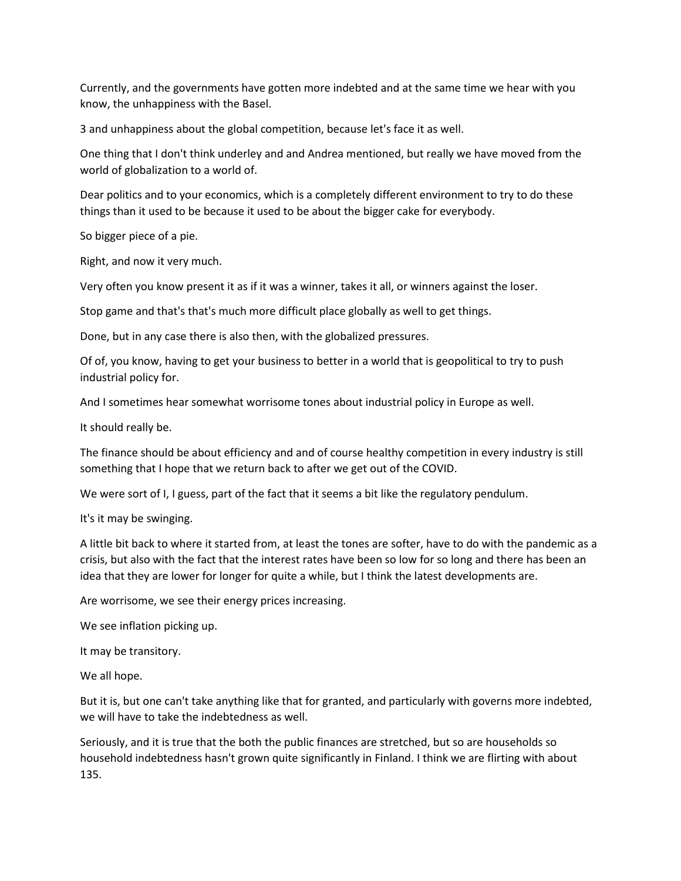Currently, and the governments have gotten more indebted and at the same time we hear with you know, the unhappiness with the Basel.

3 and unhappiness about the global competition, because let's face it as well.

One thing that I don't think underley and and Andrea mentioned, but really we have moved from the world of globalization to a world of.

Dear politics and to your economics, which is a completely different environment to try to do these things than it used to be because it used to be about the bigger cake for everybody.

So bigger piece of a pie.

Right, and now it very much.

Very often you know present it as if it was a winner, takes it all, or winners against the loser.

Stop game and that's that's much more difficult place globally as well to get things.

Done, but in any case there is also then, with the globalized pressures.

Of of, you know, having to get your business to better in a world that is geopolitical to try to push industrial policy for.

And I sometimes hear somewhat worrisome tones about industrial policy in Europe as well.

It should really be.

The finance should be about efficiency and and of course healthy competition in every industry is still something that I hope that we return back to after we get out of the COVID.

We were sort of I, I guess, part of the fact that it seems a bit like the regulatory pendulum.

It's it may be swinging.

A little bit back to where it started from, at least the tones are softer, have to do with the pandemic as a crisis, but also with the fact that the interest rates have been so low for so long and there has been an idea that they are lower for longer for quite a while, but I think the latest developments are.

Are worrisome, we see their energy prices increasing.

We see inflation picking up.

It may be transitory.

We all hope.

But it is, but one can't take anything like that for granted, and particularly with governs more indebted, we will have to take the indebtedness as well.

Seriously, and it is true that the both the public finances are stretched, but so are households so household indebtedness hasn't grown quite significantly in Finland. I think we are flirting with about 135.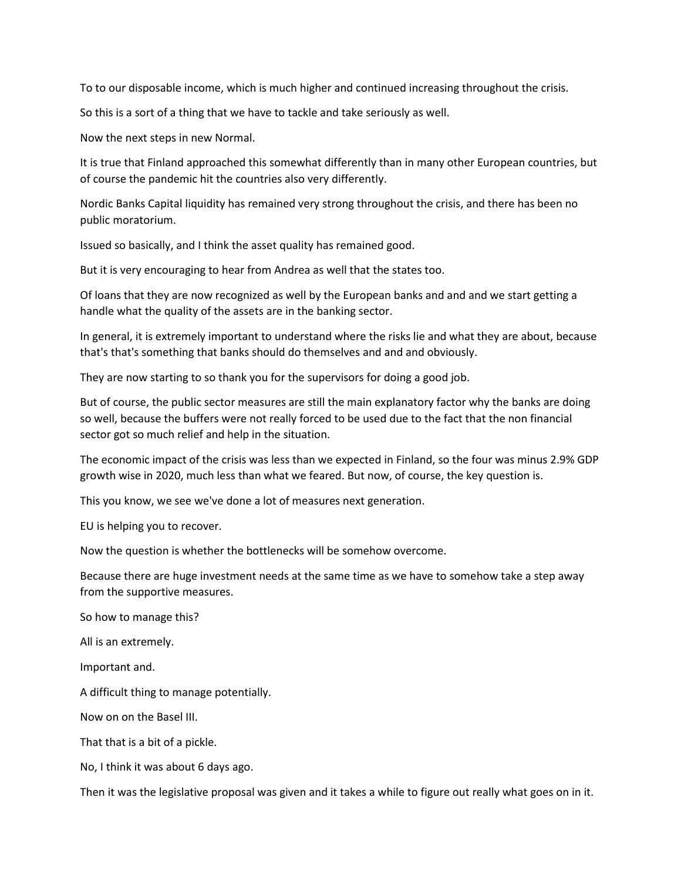To to our disposable income, which is much higher and continued increasing throughout the crisis.

So this is a sort of a thing that we have to tackle and take seriously as well.

Now the next steps in new Normal.

It is true that Finland approached this somewhat differently than in many other European countries, but of course the pandemic hit the countries also very differently.

Nordic Banks Capital liquidity has remained very strong throughout the crisis, and there has been no public moratorium.

Issued so basically, and I think the asset quality has remained good.

But it is very encouraging to hear from Andrea as well that the states too.

Of loans that they are now recognized as well by the European banks and and and we start getting a handle what the quality of the assets are in the banking sector.

In general, it is extremely important to understand where the risks lie and what they are about, because that's that's something that banks should do themselves and and and obviously.

They are now starting to so thank you for the supervisors for doing a good job.

But of course, the public sector measures are still the main explanatory factor why the banks are doing so well, because the buffers were not really forced to be used due to the fact that the non financial sector got so much relief and help in the situation.

The economic impact of the crisis was less than we expected in Finland, so the four was minus 2.9% GDP growth wise in 2020, much less than what we feared. But now, of course, the key question is.

This you know, we see we've done a lot of measures next generation.

EU is helping you to recover.

Now the question is whether the bottlenecks will be somehow overcome.

Because there are huge investment needs at the same time as we have to somehow take a step away from the supportive measures.

So how to manage this?

All is an extremely.

Important and.

A difficult thing to manage potentially.

Now on on the Basel III.

That that is a bit of a pickle.

No, I think it was about 6 days ago.

Then it was the legislative proposal was given and it takes a while to figure out really what goes on in it.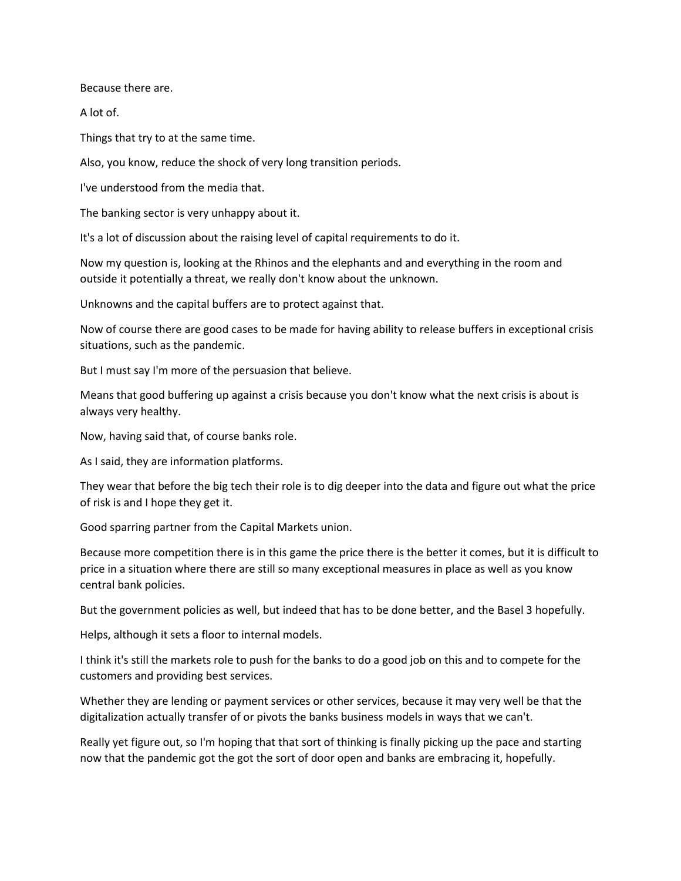Because there are.

A lot of.

Things that try to at the same time.

Also, you know, reduce the shock of very long transition periods.

I've understood from the media that.

The banking sector is very unhappy about it.

It's a lot of discussion about the raising level of capital requirements to do it.

Now my question is, looking at the Rhinos and the elephants and and everything in the room and outside it potentially a threat, we really don't know about the unknown.

Unknowns and the capital buffers are to protect against that.

Now of course there are good cases to be made for having ability to release buffers in exceptional crisis situations, such as the pandemic.

But I must say I'm more of the persuasion that believe.

Means that good buffering up against a crisis because you don't know what the next crisis is about is always very healthy.

Now, having said that, of course banks role.

As I said, they are information platforms.

They wear that before the big tech their role is to dig deeper into the data and figure out what the price of risk is and I hope they get it.

Good sparring partner from the Capital Markets union.

Because more competition there is in this game the price there is the better it comes, but it is difficult to price in a situation where there are still so many exceptional measures in place as well as you know central bank policies.

But the government policies as well, but indeed that has to be done better, and the Basel 3 hopefully.

Helps, although it sets a floor to internal models.

I think it's still the markets role to push for the banks to do a good job on this and to compete for the customers and providing best services.

Whether they are lending or payment services or other services, because it may very well be that the digitalization actually transfer of or pivots the banks business models in ways that we can't.

Really yet figure out, so I'm hoping that that sort of thinking is finally picking up the pace and starting now that the pandemic got the got the sort of door open and banks are embracing it, hopefully.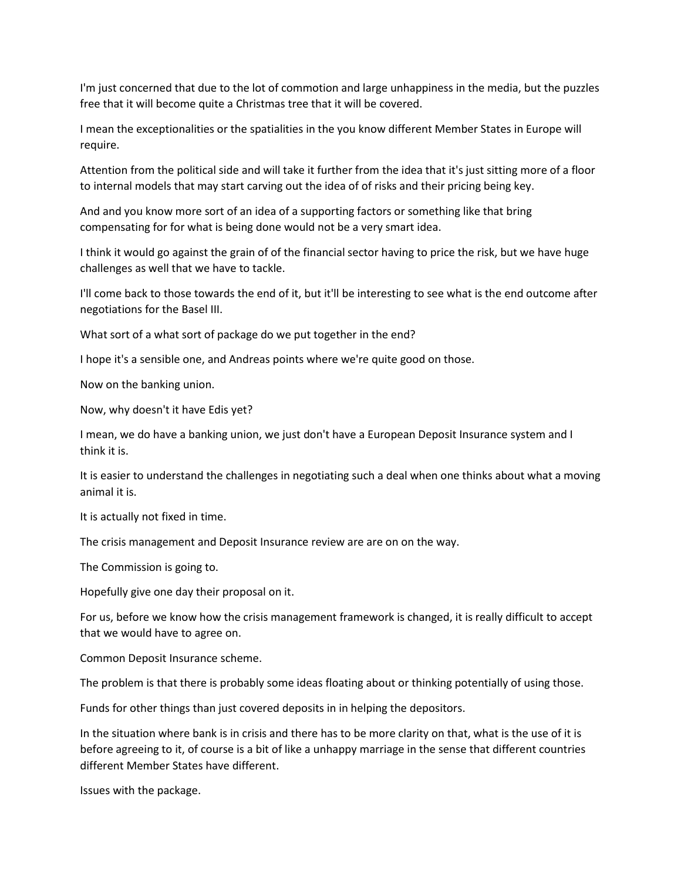I'm just concerned that due to the lot of commotion and large unhappiness in the media, but the puzzles free that it will become quite a Christmas tree that it will be covered.

I mean the exceptionalities or the spatialities in the you know different Member States in Europe will require.

Attention from the political side and will take it further from the idea that it's just sitting more of a floor to internal models that may start carving out the idea of of risks and their pricing being key.

And and you know more sort of an idea of a supporting factors or something like that bring compensating for for what is being done would not be a very smart idea.

I think it would go against the grain of of the financial sector having to price the risk, but we have huge challenges as well that we have to tackle.

I'll come back to those towards the end of it, but it'll be interesting to see what is the end outcome after negotiations for the Basel III.

What sort of a what sort of package do we put together in the end?

I hope it's a sensible one, and Andreas points where we're quite good on those.

Now on the banking union.

Now, why doesn't it have Edis yet?

I mean, we do have a banking union, we just don't have a European Deposit Insurance system and I think it is.

It is easier to understand the challenges in negotiating such a deal when one thinks about what a moving animal it is.

It is actually not fixed in time.

The crisis management and Deposit Insurance review are are on on the way.

The Commission is going to.

Hopefully give one day their proposal on it.

For us, before we know how the crisis management framework is changed, it is really difficult to accept that we would have to agree on.

Common Deposit Insurance scheme.

The problem is that there is probably some ideas floating about or thinking potentially of using those.

Funds for other things than just covered deposits in in helping the depositors.

In the situation where bank is in crisis and there has to be more clarity on that, what is the use of it is before agreeing to it, of course is a bit of like a unhappy marriage in the sense that different countries different Member States have different.

Issues with the package.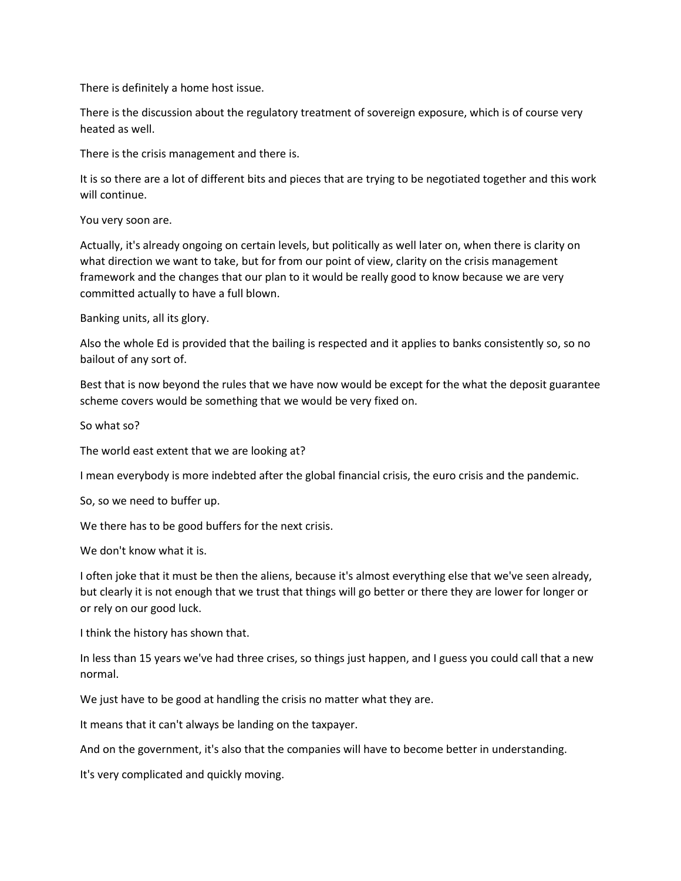There is definitely a home host issue.

There is the discussion about the regulatory treatment of sovereign exposure, which is of course very heated as well.

There is the crisis management and there is.

It is so there are a lot of different bits and pieces that are trying to be negotiated together and this work will continue.

You very soon are.

Actually, it's already ongoing on certain levels, but politically as well later on, when there is clarity on what direction we want to take, but for from our point of view, clarity on the crisis management framework and the changes that our plan to it would be really good to know because we are very committed actually to have a full blown.

Banking units, all its glory.

Also the whole Ed is provided that the bailing is respected and it applies to banks consistently so, so no bailout of any sort of.

Best that is now beyond the rules that we have now would be except for the what the deposit guarantee scheme covers would be something that we would be very fixed on.

So what so?

The world east extent that we are looking at?

I mean everybody is more indebted after the global financial crisis, the euro crisis and the pandemic.

So, so we need to buffer up.

We there has to be good buffers for the next crisis.

We don't know what it is.

I often joke that it must be then the aliens, because it's almost everything else that we've seen already, but clearly it is not enough that we trust that things will go better or there they are lower for longer or or rely on our good luck.

I think the history has shown that.

In less than 15 years we've had three crises, so things just happen, and I guess you could call that a new normal.

We just have to be good at handling the crisis no matter what they are.

It means that it can't always be landing on the taxpayer.

And on the government, it's also that the companies will have to become better in understanding.

It's very complicated and quickly moving.